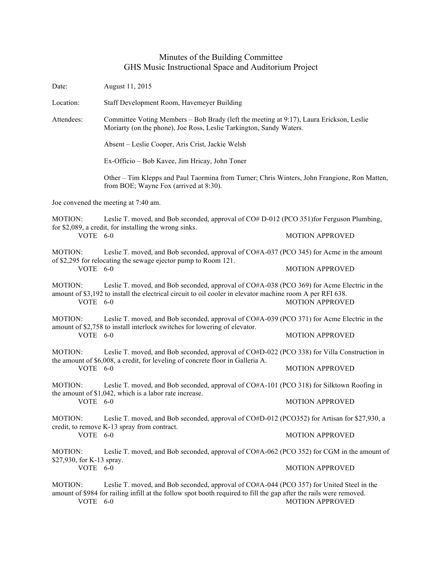## Minutes of the Building Committee GHS Music Instructional Space and Auditorium Project

Date: August 11, 2015 Location: Staff Development Room, Havemeyer Building Attendees: Committee Voting Members – Bob Brady (left the meeting at 9:17), Laura Erickson, Leslie Moriarty (on the phone), Joe Ross, Leslie Tarkington, Sandy Waters. Absent – Leslie Cooper, Aris Crist, Jackie Welsh Ex-Officio – Bob Kavee, Jim Hricay, John Toner Other – Tim Klepps and Paul Taormina from Turner; Chris Winters, John Frangione, Ron Matten, from BOE; Wayne Fox (arrived at 8:30). Joe convened the meeting at 7:40 am. MOTION: Leslie T. moved, and Bob seconded, approval of CO# D-012 (PCO 351)for Ferguson Plumbing, for \$2,089, a credit, for installing the wrong sinks. VOTE 6-0 MOTION APPROVED MOTION: Leslie T. moved, and Bob seconded, approval of CO#A-037 (PCO 345) for Acme in the amount of \$2,295 for relocating the sewage ejector pump to Room 121. VOTE 6-0 MOTION APPROVED MOTION: Leslie T. moved, and Bob seconded, approval of CO#A-038 (PCO 369) for Acme Electric in the amount of \$3,192 to install the electrical circuit to oil cooler in elevator machine room A per RFI 638. VOTE 6-0 MOTION APPROVED MOTION: Leslie T. moved, and Bob seconded, approval of CO#A-039 (PCO 371) for Acme Electric in the amount of \$2,758 to install interlock switches for lowering of elevator. VOTE 6-0 MOTION APPROVED MOTION: Leslie T. moved, and Bob seconded, approval of CO#D-022 (PCO 338) for Villa Construction in the amount of \$6,008, a credit, for leveling of concrete floor in Galleria A. VOTE 6-0 MOTION APPROVED MOTION: Leslie T. moved, and Bob seconded, approval of CO#A-101 (PCO 318) for Silktown Roofing in the amount of \$1,042, which is a labor rate increase. VOTE 6-0 MOTION APPROVED MOTION: Leslie T. moved, and Bob seconded, approval of CO#D-012 (PCO352) for Artisan for \$27,930, a credit, to remove K-13 spray from contract. VOTE 6-0 MOTION APPROVED MOTION: Leslie T. moved, and Bob seconded, approval of CO#A-062 (PCO 352) for CGM in the amount of \$27,930, for K-13 spray. VOTE 6-0 MOTION APPROVED MOTION: Leslie T. moved, and Bob seconded, approval of CO#A-044 (PCO 357) for United Steel in the amount of \$984 for railing infill at the follow spot booth required to fill the gap after the rails were removed. VOTE 6-0 MOTION APPROVED